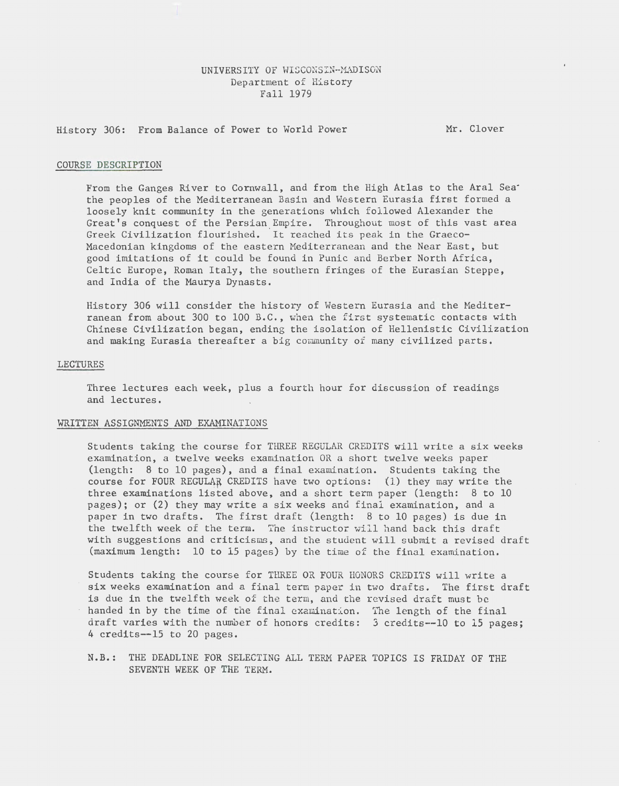# UNIVERSITY OF WISCONSIN-MADISON Department of History Fall 1979

History 306: From Balance of Power to World Power

Mr. Clover

#### COURSE DESCRIPTION

From the Ganges River to Cornwall, and from the High Atlas to the Aral Sea· the peoples of the Mediterranean Basin and Western Eurasia first formed a loosely knit community in the generations which followed Alexander the Great's conquest of the Persian Empire. Throughout most of this vast area Greek Civilization flourished. It reached its peak in the Graeco-Macedonian kingdoms of the eastern Mediterranean and the Near East, but good imitations of it could be found in Punic and Berber North Africa, Celtic Europe, Roman Italy, the southern fringes of the Eurasian Steppe, and India of the Maurya Dynasts.

History 306 will consider the history of Western Eurasia and the Mediterranean from about 300 to 100 B.C., when the first systematic contacts with Chinese Civilization began, ending the isolation of Hellenistic Civilization and making Eurasia thereafter a big community of many civilized parts.

### LECTURES

Three lectures each week, plus a fourth hour for discussion of readings and lectures.

### WRITTEN ASSIGNMENTS AND EXAMINATIONS

Students taking the course for THREE REGULAR CREDITS will write a six weeks examination, a twelve weeks examination OR a short twelve weeks paper (length: 8 to 10 pages), and a final examination. Students taking the course for FOUR REGULAR CREDITS have two options: (1) they may write the three examinations listed above, and a short term paper (length: 8 to 10 pages); or (2) they may write a six weeks and final examination, and a paper in two drafts. The first draft (length: 8 to 10 pages) is due in the twelfth week of the term. The instructor will hand back this draft with suggestions and criticisms, and the student will submit a revised draft (maximum length: 10 to 15 pages) by the time of the final examination.

Students taking the course for THREE OR FOUR HONORS CREDITS will write a six weeks examination and a final term paper in two drafts. The first draft is due in the twelfth week of the term, and the revised draft must be handed in by the time of the final examination. The length of the final draft varies with the number of honors credits: 3 credits--10 to 15 pages; 4 credits--15 to 20 pages.

N.B.: THE DEADLINE FOR SELECTING ALL TERM PAPER TOPICS IS FRIDAY OF THE SEVENTH WEEK OF THE TERM.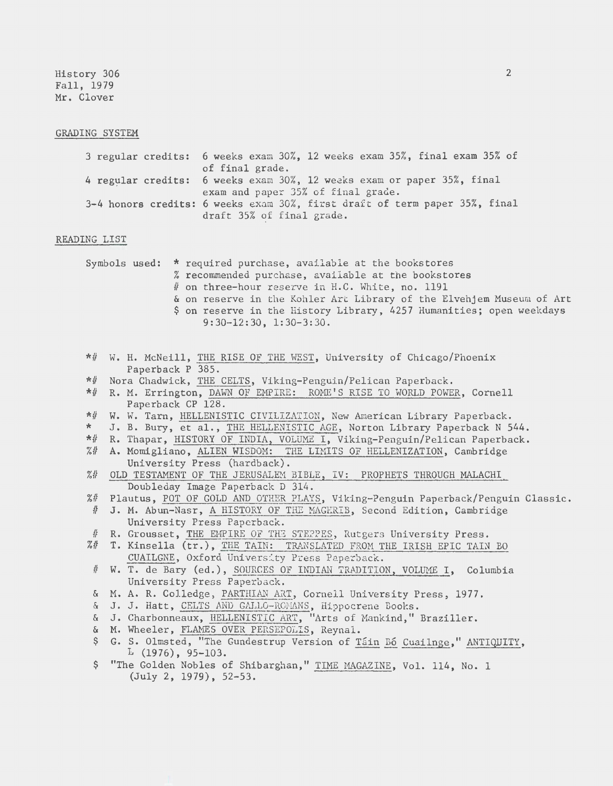History 306 Fall, 1979 Mr. Clover

#### GRADING SYSTEM

| 3 regular credits: 6 weeks exam 30%, 12 weeks exam 35%, final exam 35% of  |
|----------------------------------------------------------------------------|
| of final grade.                                                            |
| 4 regular credits: 6 weeks exam 30%, 12 weeks exam or paper 35%, final     |
| exam and paper 35% of final grade.                                         |
| 3-4 honors credits: 6 weeks exam 30%, first draft of term paper 35%, final |
| draft 35% of final grade.                                                  |

#### READING LIST

|  | Symbols used: * required purchase, available at the bookstores<br>% recommended purchase, available at the bookstores |
|--|-----------------------------------------------------------------------------------------------------------------------|
|  | # on three-hour reserve in H.C. White, no. 1191                                                                       |
|  | & on reserve in the Kohler Art Library of the Elvehjem Museum of Art                                                  |
|  | \$ on reserve in the History Library, 4257 Humanities; open weekdays                                                  |
|  | $9:30-12:30$ , $1:30-3:30$ .                                                                                          |

- \*# W. H. McNeill, THE RISE OF THE WEST, University of Chicago/Phoenix Paperback P 385.
- \*# Nora Chadwick, THE CELTS, Viking-Penguin/Pelican Paperback.
- \*# R. M. Errington, DAWN OF EMPIRE: ROME'S RISE TO WORLD POWER, Cornell Paperback CP 128.
- \*# W. W. Tarn, HELLENISTIC CIVILIZATION, New American Library Paperback.
- \* J. B. Bury, et al., THE HELLENISTIC AGE, Norton Library Paperback N 544.<br>\*# R. Thapar. HISTORY OF INDIA, VOLUME I. Viking-Penguin/Pelican Paperback.
- R. Thapar, HISTORY OF INDIA, VOLUME I, Viking-Penguin/Pelican Paperback.
- %# A. Momigliano, ALIEN WISDOM: THE LIMITS OF HELLENIZATION, Cambridge University Press (hardback).
- %# OLD TESTAMENT OF THE JERUSALEM BIBLE, IV: PROPHETS THROUGH MALACHI Doubleday Image Paperback D 314.
- %# Plautus, POT OF GOLD AND OTHER PLAYS, Viking-Penguin Paperback/Penguin Classic.
- # J. M. Abun-Nasr, A HISTORY OF THE MAGHRIB, Second Edition, Cambridge University Press Paperback.
- # R. Grousset, THE EMPIRE OF THE STEPPES, Rutgers University Press.
- %# T. Kinsella (tr.), THE TAIN: TRANSLATED FROM THE IRISH EPIC TAIN BO CUAILGNE, Oxford University Press Paperback.
- # W. T. deBary (ed.), SOURCES OF INDIAN TRADITION, VOLUME I, Columbia University Press Paperback.
- & M.A. R. Colledge, PARTHIAN ART, Cornell University Press, 1977.
- & J, J. Hatt, CELTS AND GALLO-ROMANS, Hippocrene Books.
- & J. Charbonneaux, HELLENISTIC ART, "Arts of Mankind," Braziller.
- & M. Wheeler, FLAMES OVER PERSEPOLIS, Reynal.
- \$ G. S. Olmsted, "The Gundestrup Version of Tain Bo Cuailnge," ANTIQUITY,  $L(1976)$ , 95-103.
- \$ "The Golden Nobles of Shibarghan," TIME MAGAZINE, Vol. 114, No. 1 (July 2, 1979), 52-53,